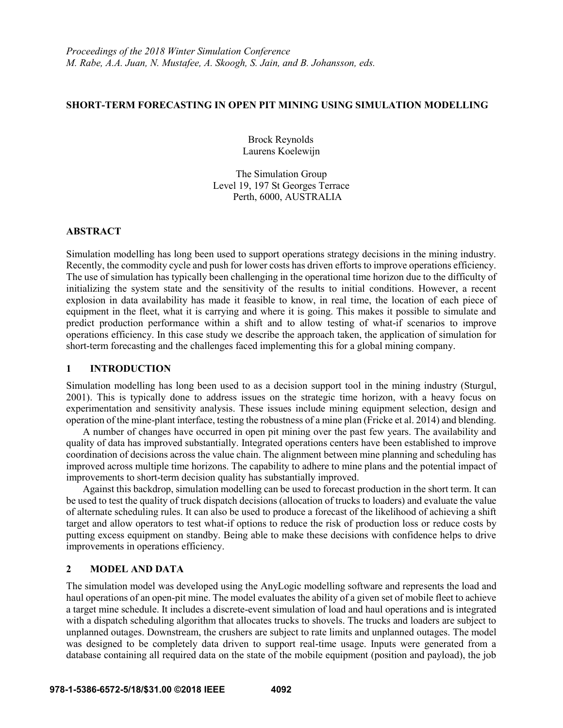## **SHORT-TERM FORECASTING IN OPEN PIT MINING USING SIMULATION MODELLING**

 Brock Reynolds Laurens Koelewijn

The Simulation Group Level 19, 197 St Georges Terrace Perth, 6000, AUSTRALIA

## **ABSTRACT**

Simulation modelling has long been used to support operations strategy decisions in the mining industry. Recently, the commodity cycle and push for lower costs has driven efforts to improve operations efficiency. The use of simulation has typically been challenging in the operational time horizon due to the difficulty of initializing the system state and the sensitivity of the results to initial conditions. However, a recent explosion in data availability has made it feasible to know, in real time, the location of each piece of equipment in the fleet, what it is carrying and where it is going. This makes it possible to simulate and predict production performance within a shift and to allow testing of what-if scenarios to improve operations efficiency. In this case study we describe the approach taken, the application of simulation for short-term forecasting and the challenges faced implementing this for a global mining company.

# **1 INTRODUCTION**

Simulation modelling has long been used to as a decision support tool in the mining industry (Sturgul, 2001). This is typically done to address issues on the strategic time horizon, with a heavy focus on experimentation and sensitivity analysis. These issues include mining equipment selection, design and operation of the mine-plant interface, testing the robustness of a mine plan (Fricke et al. 2014) and blending.

A number of changes have occurred in open pit mining over the past few years. The availability and quality of data has improved substantially. Integrated operations centers have been established to improve coordination of decisions across the value chain. The alignment between mine planning and scheduling has improved across multiple time horizons. The capability to adhere to mine plans and the potential impact of improvements to short-term decision quality has substantially improved.

Against this backdrop, simulation modelling can be used to forecast production in the short term. It can be used to test the quality of truck dispatch decisions (allocation of trucks to loaders) and evaluate the value of alternate scheduling rules. It can also be used to produce a forecast of the likelihood of achieving a shift target and allow operators to test what-if options to reduce the risk of production loss or reduce costs by putting excess equipment on standby. Being able to make these decisions with confidence helps to drive improvements in operations efficiency.

# **2 MODEL AND DATA**

The simulation model was developed using the AnyLogic modelling software and represents the load and haul operations of an open-pit mine. The model evaluates the ability of a given set of mobile fleet to achieve a target mine schedule. It includes a discrete-event simulation of load and haul operations and is integrated with a dispatch scheduling algorithm that allocates trucks to shovels. The trucks and loaders are subject to unplanned outages. Downstream, the crushers are subject to rate limits and unplanned outages. The model was designed to be completely data driven to support real-time usage. Inputs were generated from a database containing all required data on the state of the mobile equipment (position and payload), the job